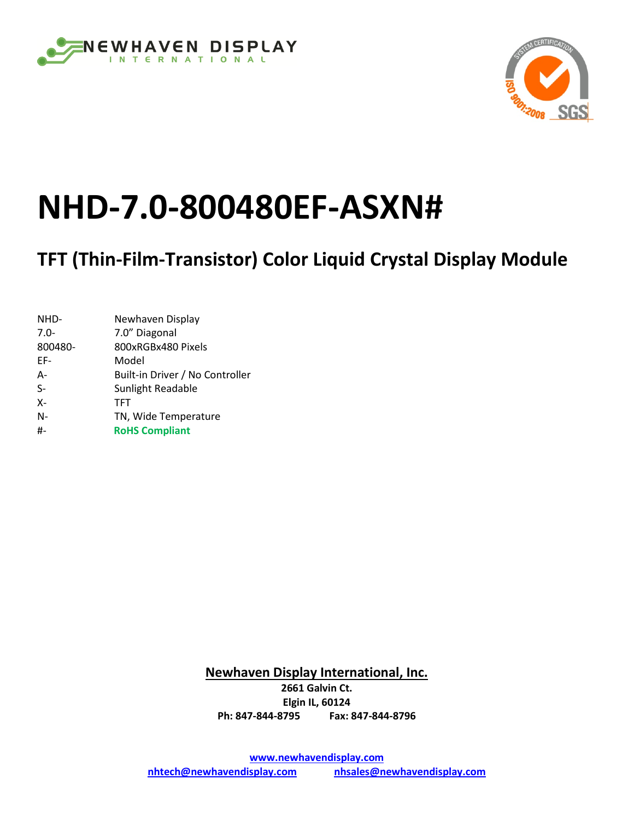



# **NHD-7.0-800480EF-ASXN#**

## **TFT (Thin-Film-Transistor) Color Liquid Crystal Display Module**

| NHD-    | Newhaven Display                |
|---------|---------------------------------|
| $7.0 -$ | 7.0" Diagonal                   |
| 800480- | 800xRGBx480 Pixels              |
| EF-     | Model                           |
| А-      | Built-in Driver / No Controller |
| $S-$    | Sunlight Readable               |
| $X -$   | <b>TFT</b>                      |
| $N-$    | TN, Wide Temperature            |
| #-      | <b>RoHS Compliant</b>           |
|         |                                 |

**Newhaven Display International, Inc. 2661 Galvin Ct. Elgin IL, 60124 Ph: 847-844-8795 Fax: 847-844-8796**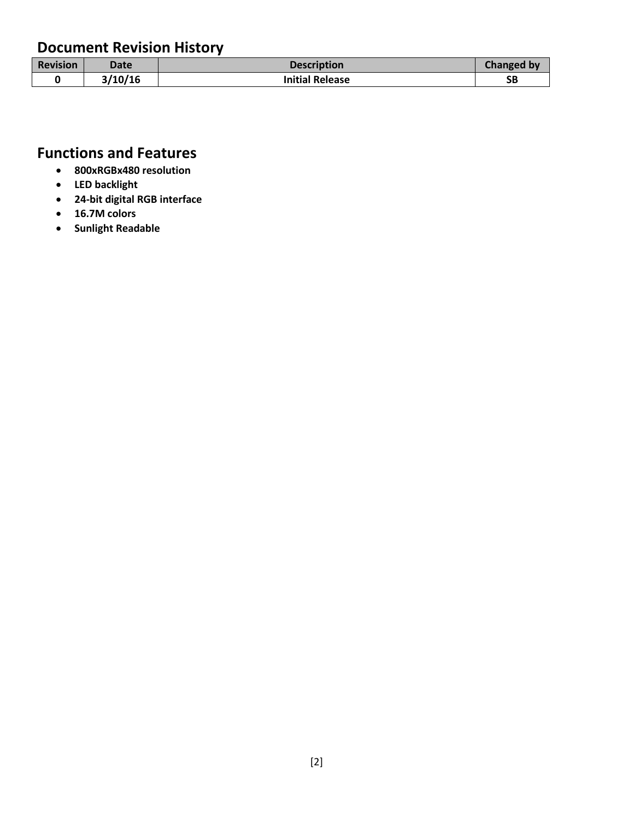### **Document Revision History**

| <b>Revision</b> | Date    | <b>Description</b>     | <b>Changed by</b> |
|-----------------|---------|------------------------|-------------------|
|                 | 3/10/16 | <b>Initial Release</b> | SΒ                |

### **Functions and Features**

- **800xRGBx480 resolution**
- **LED backlight**
- **24-bit digital RGB interface**
- **16.7M colors**
- **Sunlight Readable**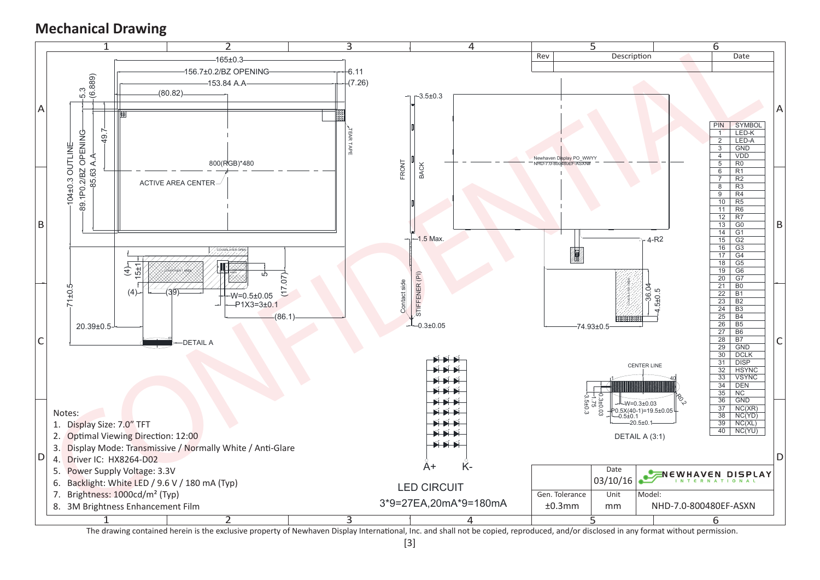#### **Mechanical Drawing**



The drawing contained herein is the exclusive property of Newhaven Display International, Inc. and shall not be copied, reproduced, and/or disclosed in any format without permission.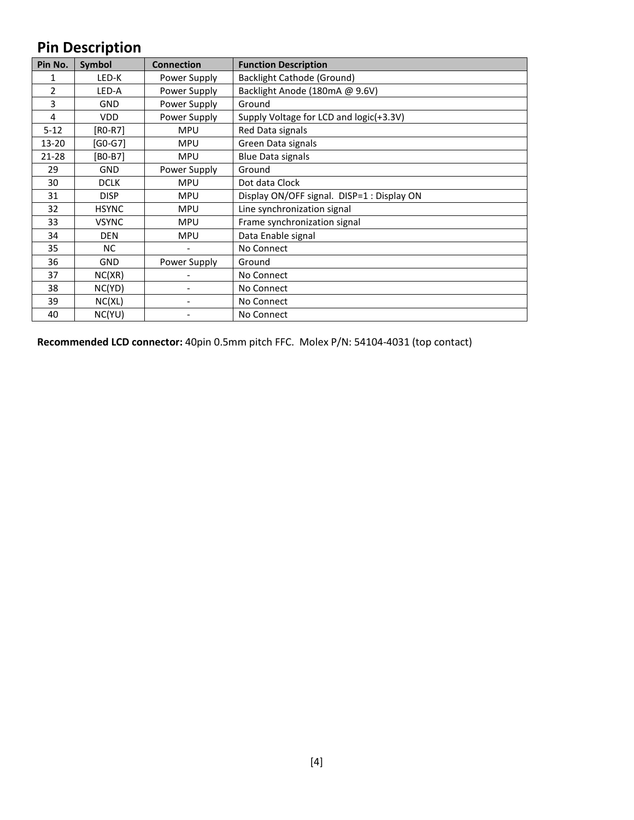### **Pin Description**

| Pin No.   | Symbol       | <b>Connection</b> | <b>Function Description</b>                |
|-----------|--------------|-------------------|--------------------------------------------|
|           | LED-K        | Power Supply      | Backlight Cathode (Ground)                 |
| 2         | LED-A        | Power Supply      | Backlight Anode (180mA @ 9.6V)             |
| 3         | <b>GND</b>   | Power Supply      | Ground                                     |
| 4         | <b>VDD</b>   | Power Supply      | Supply Voltage for LCD and logic(+3.3V)    |
| $5 - 12$  | [RO-R7]      | <b>MPU</b>        | Red Data signals                           |
| 13-20     | [G0-G7]      | <b>MPU</b>        | Green Data signals                         |
| $21 - 28$ | [BO-B7]      | <b>MPU</b>        | <b>Blue Data signals</b>                   |
| 29        | <b>GND</b>   | Power Supply      | Ground                                     |
| 30        | <b>DCLK</b>  | <b>MPU</b>        | Dot data Clock                             |
| 31        | <b>DISP</b>  | <b>MPU</b>        | Display ON/OFF signal. DISP=1 : Display ON |
| 32        | <b>HSYNC</b> | <b>MPU</b>        | Line synchronization signal                |
| 33        | <b>VSYNC</b> | <b>MPU</b>        | Frame synchronization signal               |
| 34        | <b>DEN</b>   | <b>MPU</b>        | Data Enable signal                         |
| 35        | <b>NC</b>    |                   | No Connect                                 |
| 36        | <b>GND</b>   | Power Supply      | Ground                                     |
| 37        | NC(XR)       |                   | No Connect                                 |
| 38        | NC(YD)       |                   | No Connect                                 |
| 39        | NC(XL)       |                   | No Connect                                 |
| 40        | NC(YU)       |                   | No Connect                                 |

**Recommended LCD connector:** 40pin 0.5mm pitch FFC. Molex P/N: 54104-4031 (top contact)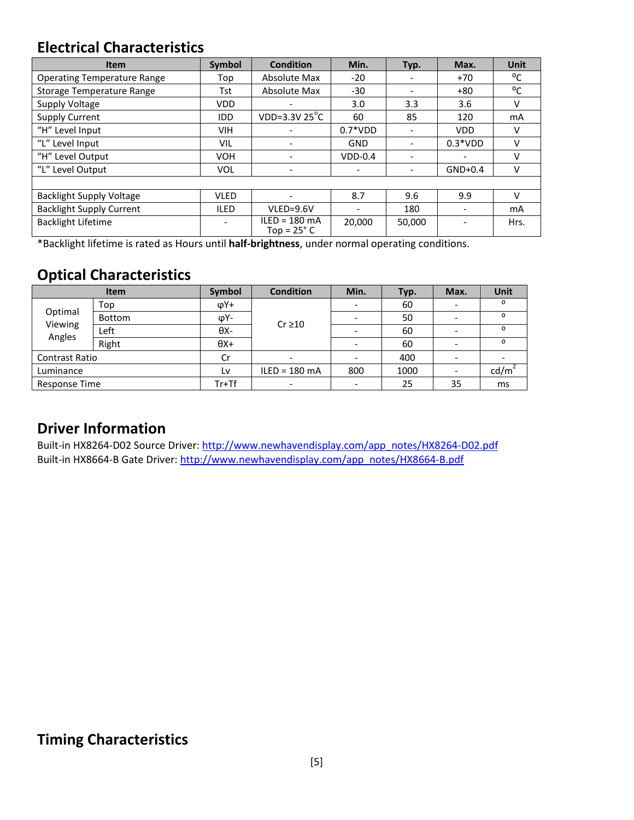#### **Electrical Characteristics**

| <b>Item</b>                        | Symbol      | <b>Condition</b>                        | Min.       | Typ.   | Max.       | <b>Unit</b> |
|------------------------------------|-------------|-----------------------------------------|------------|--------|------------|-------------|
| <b>Operating Temperature Range</b> | Top         | Absolute Max                            | $-20$      |        | $+70$      | °C          |
| <b>Storage Temperature Range</b>   | Tst         | Absolute Max                            | $-30$      |        | $+80$      | °C          |
| Supply Voltage                     | <b>VDD</b>  |                                         | 3.0        | 3.3    | 3.6        | v           |
| <b>Supply Current</b>              | <b>IDD</b>  | VDD=3.3V $25^{\circ}$ C                 | 60         | 85     | 120        | mA          |
| "H" Level Input                    | <b>VIH</b>  |                                         | $0.7*VDD$  |        | <b>VDD</b> | v           |
| "L" Level Input                    | VIL         |                                         | <b>GND</b> |        | $0.3*VDD$  | v           |
| "H" Level Output                   | <b>VOH</b>  |                                         | $VDD-0.4$  |        |            | V           |
| "L" Level Output                   | <b>VOL</b>  | $\overline{\phantom{a}}$                |            |        | $GND+0.4$  | ν           |
|                                    |             |                                         |            |        |            |             |
| <b>Backlight Supply Voltage</b>    | <b>VLED</b> |                                         | 8.7        | 9.6    | 9.9        | $\vee$      |
| <b>Backlight Supply Current</b>    | <b>ILED</b> | $VLED = 9.6V$                           |            | 180    |            | mA          |
| <b>Backlight Lifetime</b>          | ۰           | $ILED = 180 mA$<br>Top = $25^{\circ}$ C | 20,000     | 50,000 |            | Hrs.        |

\*Backlight lifetime is rated as Hours until **half-brightness**, under normal operating conditions.

#### **Optical Characteristics**

|                              | <b>Item</b> | Symbol      | <b>Condition</b> | Min. | Typ. | Max. | Unit |
|------------------------------|-------------|-------------|------------------|------|------|------|------|
| Optimal<br>Viewing<br>Angles | Top         | $\phi$ Y+   |                  |      | 60   |      | O    |
|                              | Bottom      | φΥ-         | $Cr \geq 10$     |      | 50   |      | O    |
|                              | Left        | θХ-         |                  |      | 60   |      | O    |
|                              | Right       | $\theta$ X+ |                  |      | 60   |      | O    |
| <b>Contrast Ratio</b>        |             | Cr          |                  |      | 400  |      |      |
| Luminance                    |             | L٧          | $ILED = 180 mA$  | 800  | 1000 |      | cd/m |
| Response Time                |             | $Tr+Tf$     |                  |      | 25   | 35   | ms   |

#### **Driver Information**

Built-in HX8264-D02 Source Driver: [http://www.newhavendisplay.com/app\\_notes/HX8264-D02.pdf](http://www.newhavendisplay.com/app_notes/HX8264-D02.pdf) Built-in HX8664-B Gate Driver: [http://www.newhavendisplay.com/app\\_notes/HX8664-B.pdf](http://www.newhavendisplay.com/app_notes/HX8664-B.pdf)

#### **Timing Characteristics**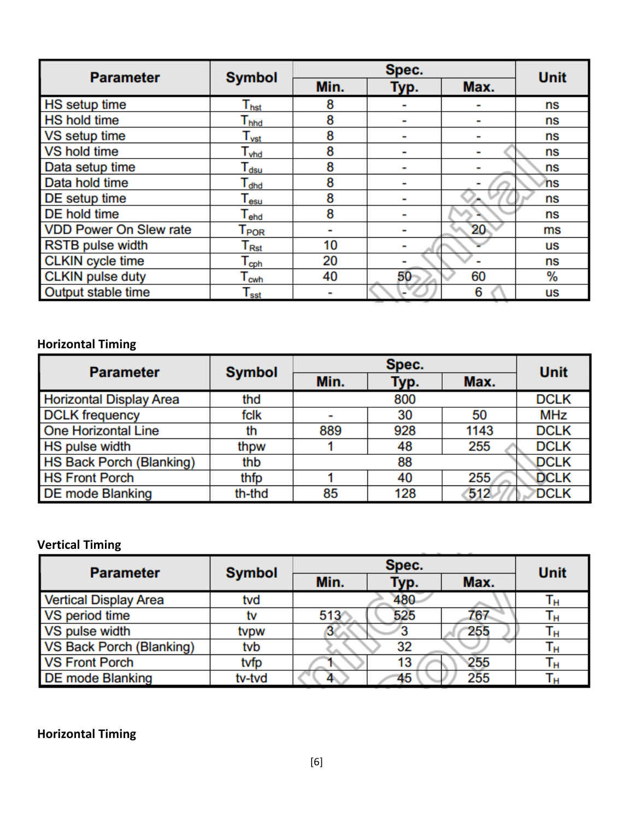| <b>Parameter</b>              | <b>Symbol</b>               |      | Spec. |      |             |  |
|-------------------------------|-----------------------------|------|-------|------|-------------|--|
|                               |                             | Min. | Typ.  | Max. | <b>Unit</b> |  |
| HS setup time                 | $\mathsf{T}_{\mathsf{hst}}$ | 8    |       |      | ns          |  |
| <b>HS hold time</b>           | $\mathsf{T}_{\mathsf{hhd}}$ | 8    |       |      | ns          |  |
| VS setup time                 | $\mathsf{T}_{\mathsf{vst}}$ | 8    |       |      | ns          |  |
| VS hold time                  | $\mathsf{T}_{\mathsf{vhd}}$ | 8    | -     |      | ns          |  |
| Data setup time               | $\mathsf{T}_{\mathsf{dsu}}$ | 8    |       |      | ns          |  |
| Data hold time                | $\mathsf{T}_{\mathsf{dhd}}$ | 8    |       |      | ns          |  |
| DE setup time                 | $\mathsf{T}_{\mathsf{esu}}$ | 8    |       |      | ns          |  |
| DE hold time                  | $\mathsf{T}_{\mathsf{ehd}}$ | 8    |       |      | ns          |  |
| <b>VDD Power On Slew rate</b> | $\mathsf{T}_{\mathsf{POR}}$ |      |       | 20   | ms          |  |
| <b>RSTB</b> pulse width       | ${\mathsf T}_{\sf Rst}$     | 10   |       |      | us          |  |
| <b>CLKIN</b> cycle time       | $\mathsf{T_{\textrm{cph}}}$ | 20   |       |      | ns          |  |
| <b>CLKIN</b> pulse duty       | $\mathsf{T}_{\mathsf{cwh}}$ | 40   | 50    | 60   | %           |  |
| Output stable time            | $\mathsf{T}_{\mathsf{sst}}$ |      |       | 6    | us          |  |

### **Horizontal Timing**

| <b>Parameter</b>                | <b>Symbol</b> |      | <b>Unit</b> |      |             |
|---------------------------------|---------------|------|-------------|------|-------------|
|                                 |               | Min. | Typ.        | Max. |             |
| <b>Horizontal Display Area</b>  | thd           |      | 800         |      | <b>DCLK</b> |
| <b>DCLK</b> frequency           | fclk          |      | 30          | 50   | MHz         |
| <b>One Horizontal Line</b>      | th            | 889  | 928         | 1143 | <b>DCLK</b> |
| <b>HS pulse width</b>           | thpw          |      | 48          | 255  | <b>DCLK</b> |
| <b>HS Back Porch (Blanking)</b> | thb           |      | 88          |      | <b>DCLK</b> |
| <b>HS Front Porch</b>           | thfp          |      | 40          | 255  | <b>DCLK</b> |
| <b>DE mode Blanking</b>         | th-thd        | 85   | 128         | 512  | <b>DCLK</b> |

#### **Vertical Timing**

| <b>Parameter</b>             | <b>Symbol</b> |      | Unit |      |    |
|------------------------------|---------------|------|------|------|----|
|                              |               | Min. | Typ. | Max. |    |
| <b>Vertical Display Area</b> | tvd           |      | 480  |      |    |
| VS period time               | tv            | 513' | 525  | 767  | Iн |
| VS pulse width               | tvpw          |      |      | 255  |    |
| VS Back Porch (Blanking)     | tvb           |      | 32   |      | Iн |
| <b>VS Front Porch</b>        | tvfp          |      | 13   | 255  | ١н |
| <b>DE mode Blanking</b>      | tv-tvd        |      | 45   | 255  |    |

#### **Horizontal Timing**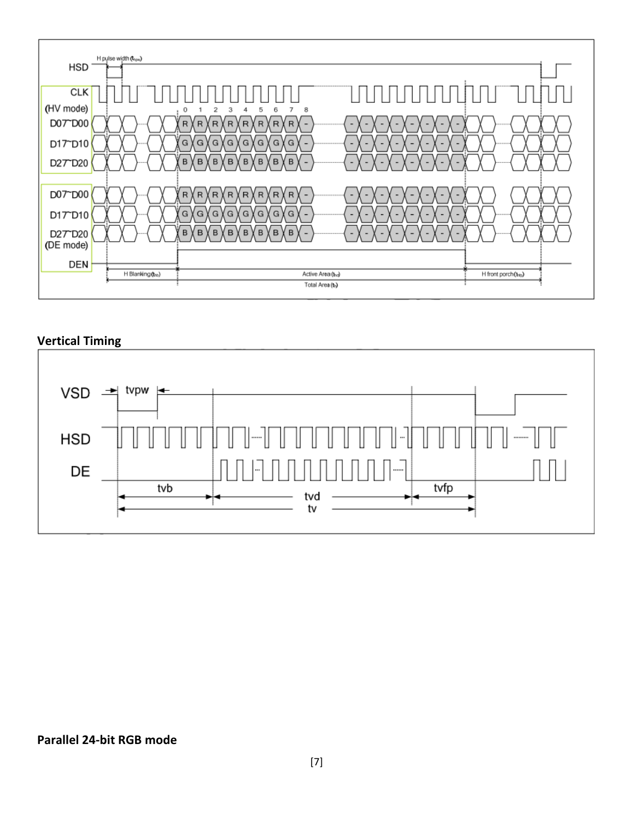

#### **Vertical Timing**



#### **Parallel 24-bit RGB mode**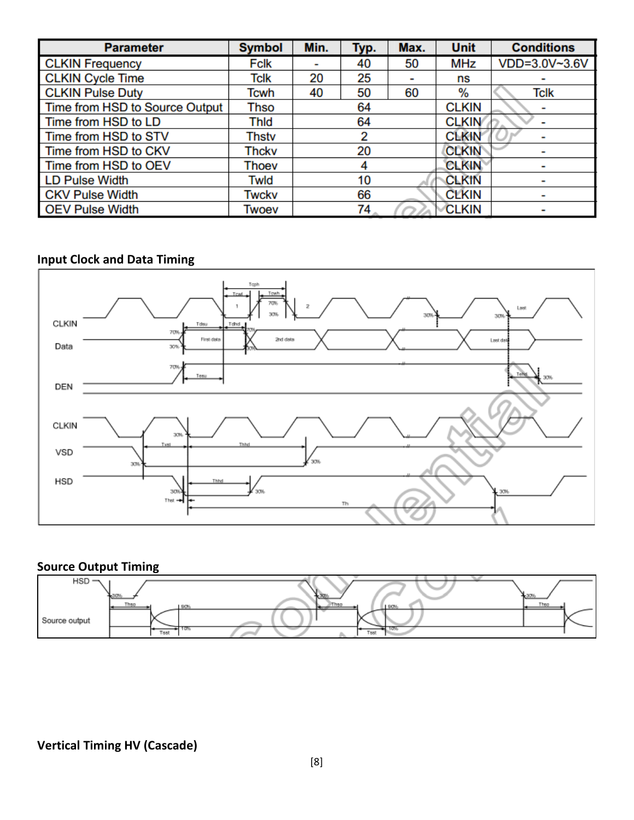| <b>Parameter</b>               | <b>Symbol</b> | Min. | Typ. | Max. | <b>Unit</b>  | <b>Conditions</b> |
|--------------------------------|---------------|------|------|------|--------------|-------------------|
| <b>CLKIN Frequency</b>         | Fclk          |      | 40   | 50   | MHz          | VDD=3.0V~3.6V     |
| <b>CLKIN Cycle Time</b>        | Tclk          | 20   | 25   |      | ns           |                   |
| <b>CLKIN Pulse Duty</b>        | Tcwh          | 40   | 50   | 60   | %            | Tclk              |
| Time from HSD to Source Output | Thso          |      | 64   |      | <b>CLKIN</b> |                   |
| Time from HSD to LD            | Thid          |      | 64   |      | <b>CLKIN</b> |                   |
| Time from HSD to STV           | Thstv         |      | 2    |      | <b>CLKIN</b> |                   |
| Time from HSD to CKV           | Thckv         |      | 20   |      | <b>CLKIN</b> |                   |
| Time from HSD to OEV           | Thoev         |      |      |      | <b>CLKIN</b> |                   |
| <b>LD Pulse Width</b>          | Twld          |      | 10   |      | <b>CLKIN</b> | -                 |
| <b>CKV Pulse Width</b>         | Twckv         |      | 66   |      | <b>CLKIN</b> | -                 |
| <b>OEV Pulse Width</b>         | Twoev         |      | 74   |      | <b>CLKIN</b> | -                 |

### **Input Clock and Data Timing**





#### **Vertical Timing HV (Cascade)**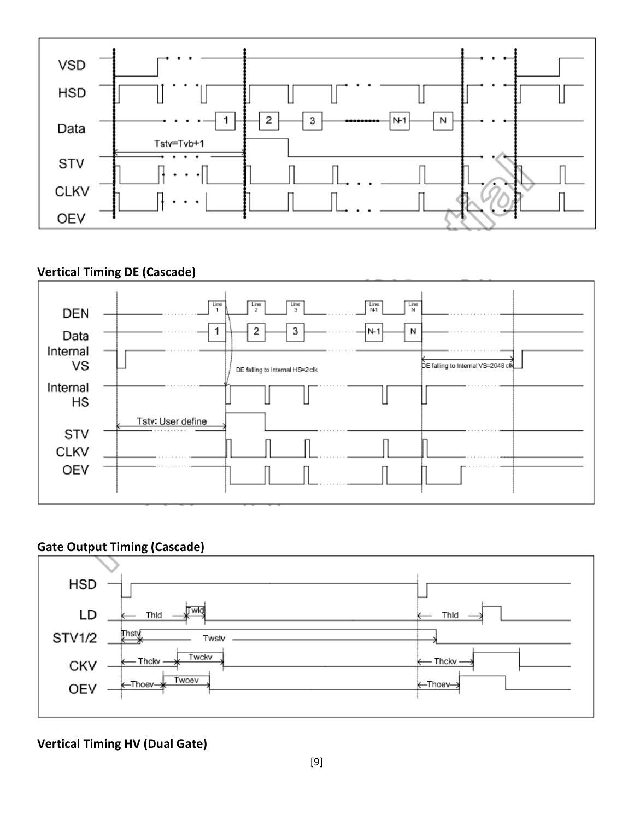

#### **Vertical Timing DE (Cascade)**



#### **Gate Output Timing (Cascade)**



**Vertical Timing HV (Dual Gate)**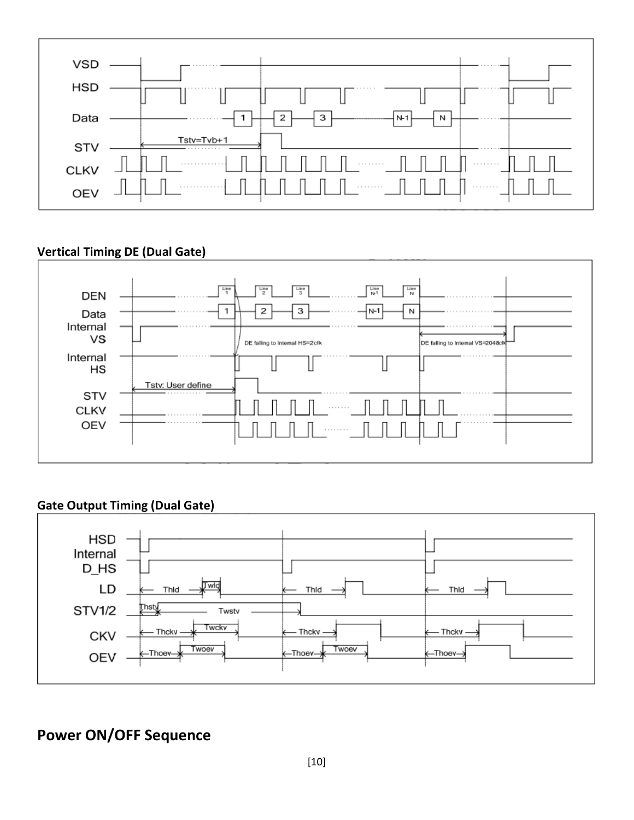

#### **Vertical Timing DE (Dual Gate)**



#### **Gate Output Timing (Dual Gate)**



**Power ON/OFF Sequence**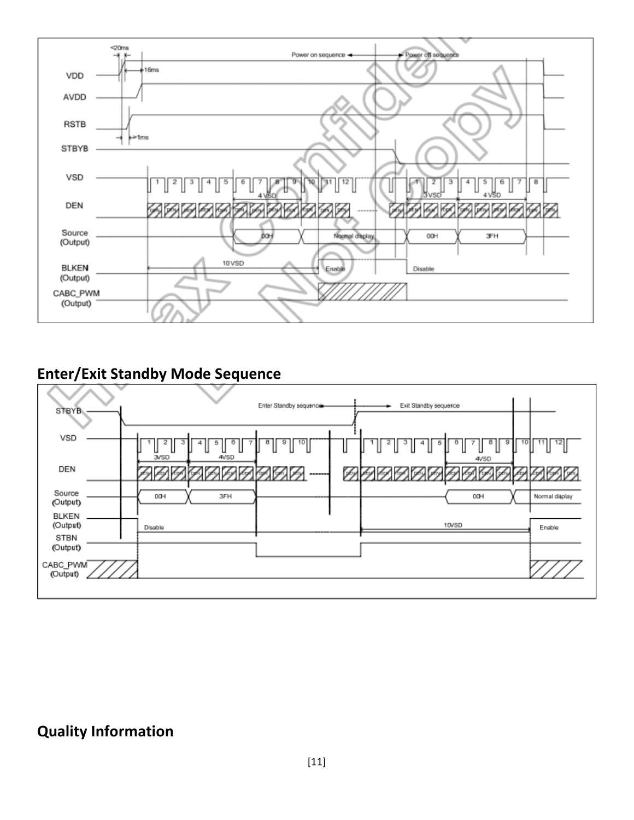

### **Enter/Exit Standby Mode Sequence**



### **Quality Information**